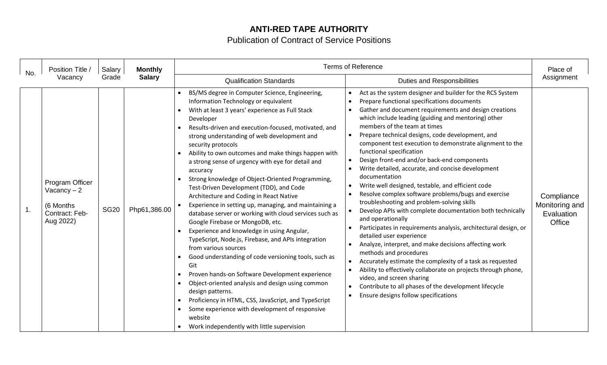## **ANTI-RED TAPE AUTHORITY**

## Publication of Contract of Service Positions

| No. | Position Title /<br>Vacancy                                                 | Salary<br>Grade | <b>Monthly</b><br><b>Salary</b> | <b>Terms of Reference</b>                                                                                                                                                                                                                                                                                                                                                                                                                                                                                                                                                                                                                                                                                                                                                                                                                                                                                                                                                                                                                                                                                                                                                                              |                                                                                                                                                                                                                                                                                                                                                                                                                                                                                                                                                                                                                                                                                                                                                                                                                                                                                                                                                                                                                                                                                                                                                                                                                     | Place of                                                    |
|-----|-----------------------------------------------------------------------------|-----------------|---------------------------------|--------------------------------------------------------------------------------------------------------------------------------------------------------------------------------------------------------------------------------------------------------------------------------------------------------------------------------------------------------------------------------------------------------------------------------------------------------------------------------------------------------------------------------------------------------------------------------------------------------------------------------------------------------------------------------------------------------------------------------------------------------------------------------------------------------------------------------------------------------------------------------------------------------------------------------------------------------------------------------------------------------------------------------------------------------------------------------------------------------------------------------------------------------------------------------------------------------|---------------------------------------------------------------------------------------------------------------------------------------------------------------------------------------------------------------------------------------------------------------------------------------------------------------------------------------------------------------------------------------------------------------------------------------------------------------------------------------------------------------------------------------------------------------------------------------------------------------------------------------------------------------------------------------------------------------------------------------------------------------------------------------------------------------------------------------------------------------------------------------------------------------------------------------------------------------------------------------------------------------------------------------------------------------------------------------------------------------------------------------------------------------------------------------------------------------------|-------------------------------------------------------------|
|     |                                                                             |                 |                                 | <b>Qualification Standards</b>                                                                                                                                                                                                                                                                                                                                                                                                                                                                                                                                                                                                                                                                                                                                                                                                                                                                                                                                                                                                                                                                                                                                                                         | <b>Duties and Responsibilities</b>                                                                                                                                                                                                                                                                                                                                                                                                                                                                                                                                                                                                                                                                                                                                                                                                                                                                                                                                                                                                                                                                                                                                                                                  | Assignment                                                  |
| 1.  | Program Officer<br>Vacancy $-2$<br>(6 Months<br>Contract: Feb-<br>Aug 2022) | <b>SG20</b>     | Php61,386.00                    | BS/MS degree in Computer Science, Engineering,<br>Information Technology or equivalent<br>With at least 3 years' experience as Full Stack<br>Developer<br>Results-driven and execution-focused, motivated, and<br>strong understanding of web development and<br>security protocols<br>Ability to own outcomes and make things happen with<br>a strong sense of urgency with eye for detail and<br>accuracy<br>Strong knowledge of Object-Oriented Programming,<br>Test-Driven Development (TDD), and Code<br>Architecture and Coding in React Native<br>Experience in setting up, managing, and maintaining a<br>database server or working with cloud services such as<br>Google Firebase or MongoDB, etc.<br>Experience and knowledge in using Angular,<br>TypeScript, Node.js, Firebase, and APIs integration<br>from various sources<br>Good understanding of code versioning tools, such as<br>Git<br>Proven hands-on Software Development experience<br>Object-oriented analysis and design using common<br>design patterns.<br>Proficiency in HTML, CSS, JavaScript, and TypeScript<br>Some experience with development of responsive<br>website<br>Work independently with little supervision | Act as the system designer and builder for the RCS System<br>Prepare functional specifications documents<br>Gather and document requirements and design creations<br>which include leading (guiding and mentoring) other<br>members of the team at times<br>Prepare technical designs, code development, and<br>component test execution to demonstrate alignment to the<br>functional specification<br>Design front-end and/or back-end components<br>Write detailed, accurate, and concise development<br>documentation<br>Write well designed, testable, and efficient code<br>Resolve complex software problems/bugs and exercise<br>troubleshooting and problem-solving skills<br>Develop APIs with complete documentation both technically<br>and operationally<br>Participates in requirements analysis, architectural design, or<br>detailed user experience<br>Analyze, interpret, and make decisions affecting work<br>methods and procedures<br>Accurately estimate the complexity of a task as requested<br>Ability to effectively collaborate on projects through phone,<br>video, and screen sharing<br>Contribute to all phases of the development lifecycle<br>Ensure designs follow specifications | Compliance<br>Monitoring and<br>Evaluation<br><b>Office</b> |